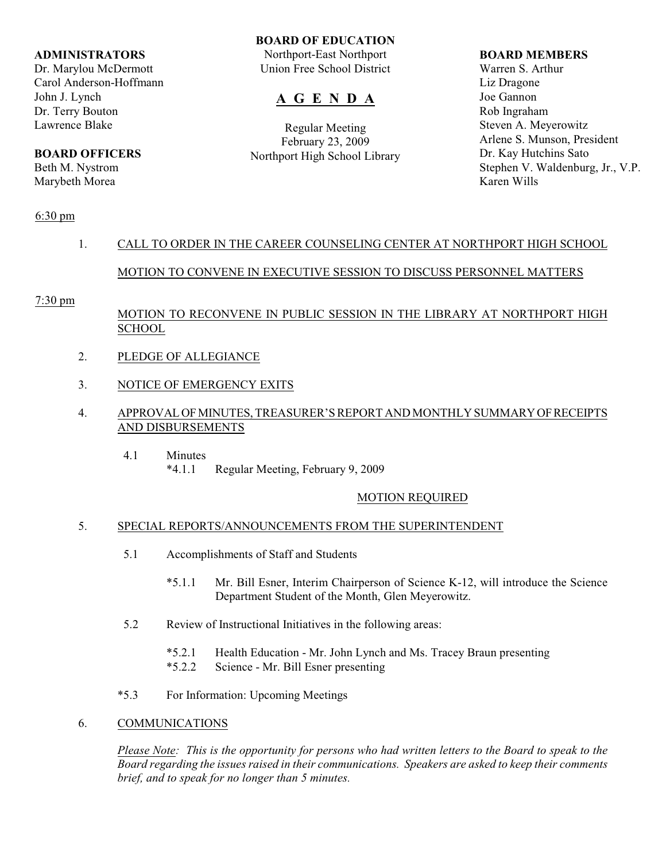#### **ADMINISTRATORS**

Dr. Marylou McDermott Carol Anderson-Hoffmann John J. Lynch Dr. Terry Bouton Lawrence Blake

# **BOARD OFFICERS**

Beth M. Nystrom Marybeth Morea

#### **BOARD OF EDUCATION**

Northport-East Northport Union Free School District

# **A G E N D A**

Regular Meeting February 23, 2009 Northport High School Library

#### **BOARD MEMBERS**

Warren S. Arthur Liz Dragone Joe Gannon Rob Ingraham Steven A. Meyerowitz Arlene S. Munson, President Dr. Kay Hutchins Sato Stephen V. Waldenburg, Jr., V.P. Karen Wills

### 6:30 pm

# 1. CALL TO ORDER IN THE CAREER COUNSELING CENTER AT NORTHPORT HIGH SCHOOL

## MOTION TO CONVENE IN EXECUTIVE SESSION TO DISCUSS PERSONNEL MATTERS

#### 7:30 pm

## MOTION TO RECONVENE IN PUBLIC SESSION IN THE LIBRARY AT NORTHPORT HIGH **SCHOOL**

- 2. PLEDGE OF ALLEGIANCE
- 3. NOTICE OF EMERGENCY EXITS
- 4. APPROVAL OF MINUTES, TREASURER'S REPORT AND MONTHLY SUMMARY OF RECEIPTS AND DISBURSEMENTS
	- 4.1 Minutes<br> $*4.1.1$ Regular Meeting, February 9, 2009

#### MOTION REQUIRED

#### 5. SPECIAL REPORTS/ANNOUNCEMENTS FROM THE SUPERINTENDENT

- 5.1 Accomplishments of Staff and Students
	- \*5.1.1 Mr. Bill Esner, Interim Chairperson of Science K-12, will introduce the Science Department Student of the Month, Glen Meyerowitz.
- 5.2 Review of Instructional Initiatives in the following areas:
	- \*5.2.1 Health Education Mr. John Lynch and Ms. Tracey Braun presenting
	- \*5.2.2 Science Mr. Bill Esner presenting
- \*5.3 For Information: Upcoming Meetings

#### 6. COMMUNICATIONS

*Please Note: This is the opportunity for persons who had written letters to the Board to speak to the Board regarding the issues raised in their communications. Speakers are asked to keep their comments brief, and to speak for no longer than 5 minutes.*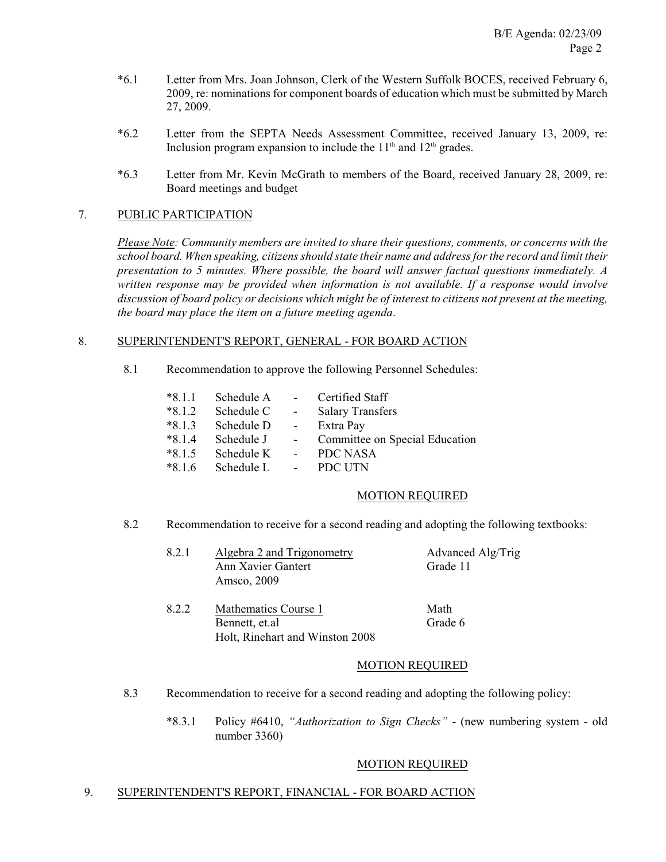- \*6.1 Letter from Mrs. Joan Johnson, Clerk of the Western Suffolk BOCES, received February 6, 2009, re: nominations for component boards of education which must be submitted by March 27, 2009.
- \*6.2 Letter from the SEPTA Needs Assessment Committee, received January 13, 2009, re: Inclusion program expansion to include the  $11<sup>th</sup>$  and  $12<sup>th</sup>$  grades.
- \*6.3 Letter from Mr. Kevin McGrath to members of the Board, received January 28, 2009, re: Board meetings and budget

#### 7. PUBLIC PARTICIPATION

*Please Note: Community members are invited to share their questions, comments, or concerns with the school board. When speaking, citizens should state their name and address for the record and limit their presentation to 5 minutes. Where possible, the board will answer factual questions immediately. A written response may be provided when information is not available. If a response would involve discussion of board policy or decisions which might be of interest to citizens not present at the meeting, the board may place the item on a future meeting agenda*.

#### 8. SUPERINTENDENT'S REPORT, GENERAL - FOR BOARD ACTION

8.1 Recommendation to approve the following Personnel Schedules:

| $*8.1.1$ | Schedule A - |                 | Certified Staff                |
|----------|--------------|-----------------|--------------------------------|
| $*8.1.2$ | Schedule C   | $\sim$ $-$      | <b>Salary Transfers</b>        |
| $*8.1.3$ | Schedule D   | $\sim 10^{-10}$ | Extra Pay                      |
| $*8.1.4$ | Schedule J   | $\sim$ 10 $\pm$ | Committee on Special Education |
| $*8.1.5$ | Schedule K   | $\sim$ 10 $\pm$ | PDC NASA                       |
| $*816$   | Schedule L   | $\sim 100$      | PDC UTN                        |

#### MOTION REQUIRED

8.2 Recommendation to receive for a second reading and adopting the following textbooks:

| 8.2.1 | Algebra 2 and Trigonometry | Advanced Alg/Trig |
|-------|----------------------------|-------------------|
|       | Ann Xavier Gantert         | Grade 11          |
|       | Amsco, 2009                |                   |
| 8.2.2 | Mathematics Course 1       | Math              |
|       | Bennett, et.al             | Grade 6           |

#### MOTION REQUIRED

- 8.3 Recommendation to receive for a second reading and adopting the following policy:
	- \*8.3.1 Policy #6410, *"Authorization to Sign Checks"*  (new numbering system old number 3360)

#### MOTION REQUIRED

### 9. SUPERINTENDENT'S REPORT, FINANCIAL - FOR BOARD ACTION

Holt, Rinehart and Winston 2008